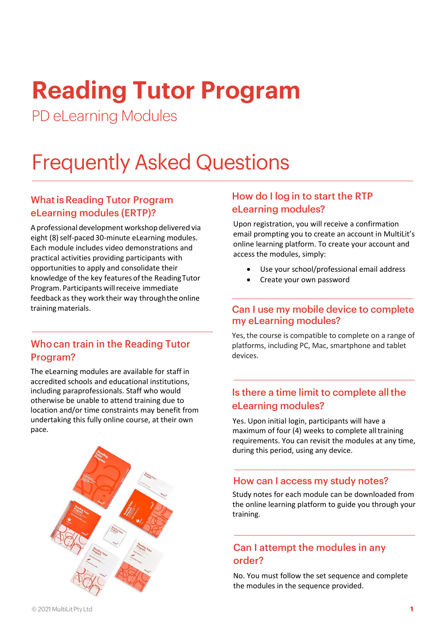# **Reading Tutor Program**

PD eLearning Modules

# **Frequently Asked Questions**

# **What is Reading Tutor Program** eLearning modules (ERTP)?

A professional development workshop delivered via eight (8) self-paced 30-minute eLearning modules. Each module includes video demonstrations and practical activities providing participants with opportunities to apply and consolidate their knowledge of the key features of the Reading Tutor Program. Participants will receive immediate feedback as they work their way throughtheonline training materials.

# Who can train in the Reading Tutor Program?

The eLearning modules are available for staff in accredited schools and educational institutions, including paraprofessionals. Staff who would otherwise be unable to attend training due to location and/or time constraints may benefit from undertaking this fully online course, at their own pace.



#### How do I log in to start the RTP eLearning modules?

Upon registration, you will receive a confirmation email prompting you to create an account in MultiLit's online learning platform. To create your account and access the modules, simply:

- Use your school/professional email address
- Create your own password

#### Can I use my mobile device to complete my eLearning modules?

Yes, the course is compatible to complete on a range of platforms, including PC, Mac, smartphone and tablet devices.

# Is there a time limit to complete all the eLearning modules?

Yes. Upon initial login, participants will have a maximum of four (4) weeks to complete alltraining requirements. You can revisit the modules at any time, during this period, using any device.

#### How can I access my study notes?

Study notes for each module can be downloaded from the online learning platform to guide you through your training.

# Can I attempt the modules in any order?

No. You must follow the set sequence and complete the modules in the sequence provided.